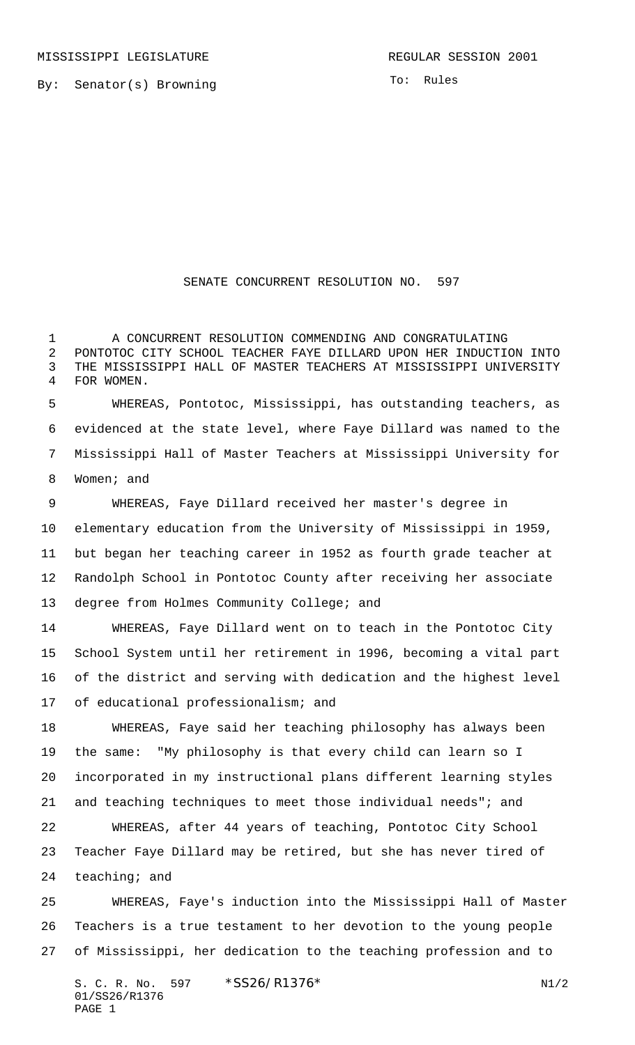By: Senator(s) Browning

To: Rules

## SENATE CONCURRENT RESOLUTION NO. 597

 A CONCURRENT RESOLUTION COMMENDING AND CONGRATULATING PONTOTOC CITY SCHOOL TEACHER FAYE DILLARD UPON HER INDUCTION INTO THE MISSISSIPPI HALL OF MASTER TEACHERS AT MISSISSIPPI UNIVERSITY FOR WOMEN.

 WHEREAS, Pontotoc, Mississippi, has outstanding teachers, as evidenced at the state level, where Faye Dillard was named to the Mississippi Hall of Master Teachers at Mississippi University for Women; and

 WHEREAS, Faye Dillard received her master's degree in elementary education from the University of Mississippi in 1959, but began her teaching career in 1952 as fourth grade teacher at Randolph School in Pontotoc County after receiving her associate 13 degree from Holmes Community College; and

 WHEREAS, Faye Dillard went on to teach in the Pontotoc City School System until her retirement in 1996, becoming a vital part of the district and serving with dedication and the highest level of educational professionalism; and

 WHEREAS, Faye said her teaching philosophy has always been the same: "My philosophy is that every child can learn so I incorporated in my instructional plans different learning styles and teaching techniques to meet those individual needs"; and WHEREAS, after 44 years of teaching, Pontotoc City School

 Teacher Faye Dillard may be retired, but she has never tired of teaching; and

 WHEREAS, Faye's induction into the Mississippi Hall of Master Teachers is a true testament to her devotion to the young people of Mississippi, her dedication to the teaching profession and to

S. C. R. No. \*SS26/R1376\* N1/2 01/SS26/R1376 PAGE 1